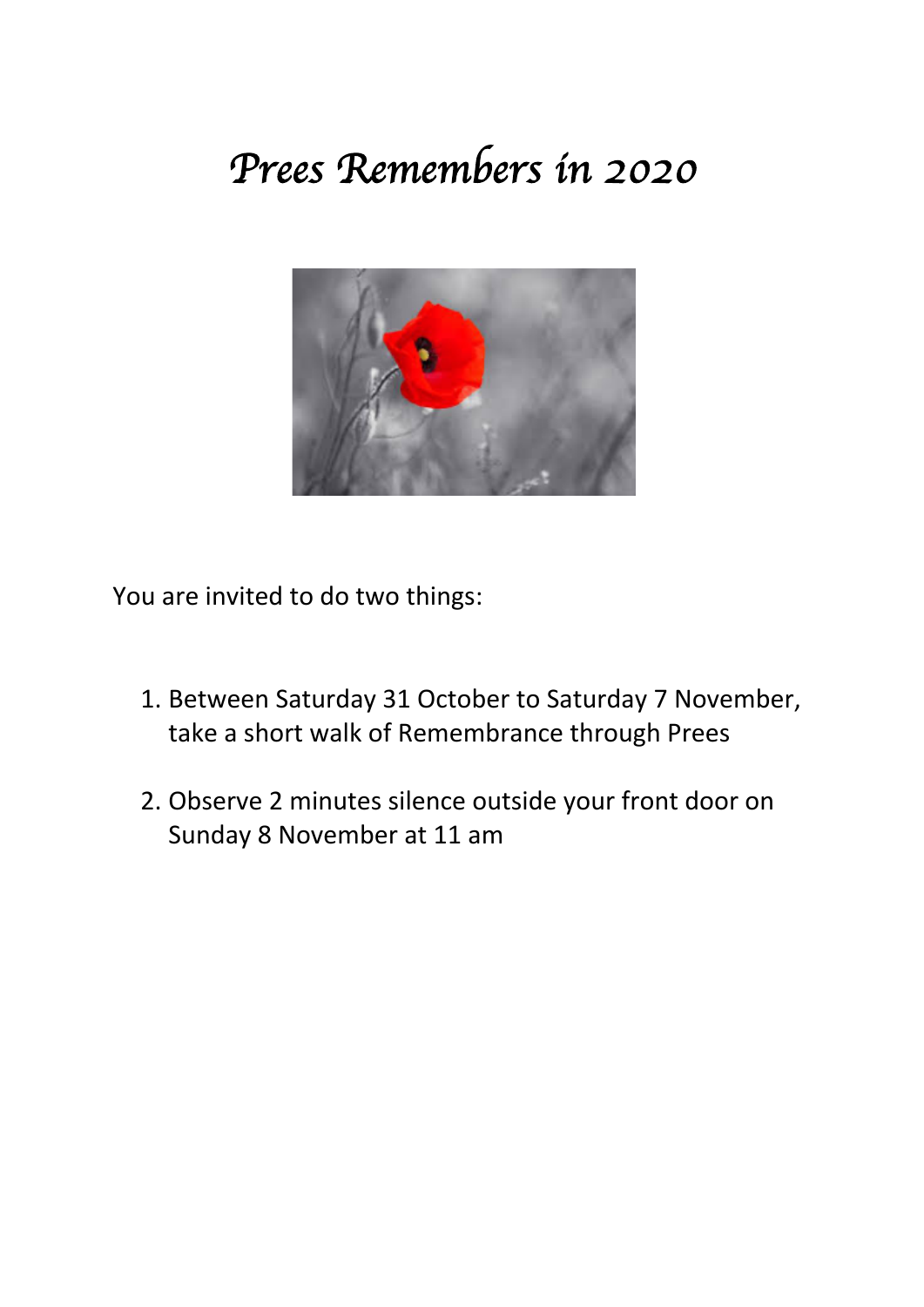## *Prees Remembers in 2020*



You are invited to do two things:

- 1. Between Saturday 31 October to Saturday 7 November, take a short walk of Remembrance through Prees
- 2. Observe 2 minutes silence outside your front door on Sunday 8 November at 11 am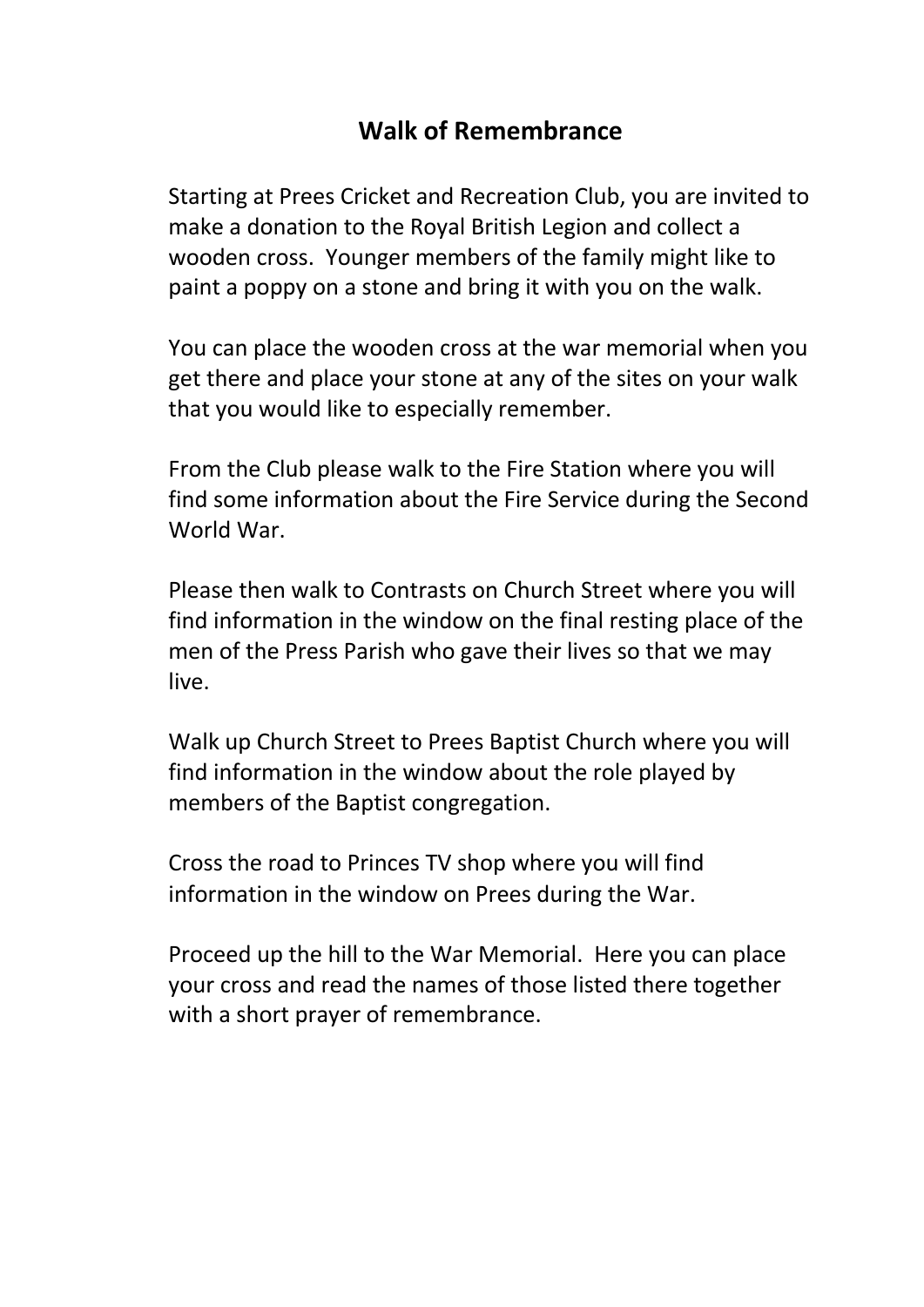## **Walk of Remembrance**

Starting at Prees Cricket and Recreation Club, you are invited to make a donation to the Royal British Legion and collect a wooden cross. Younger members of the family might like to paint a poppy on a stone and bring it with you on the walk.

You can place the wooden cross at the war memorial when you get there and place your stone at any of the sites on your walk that you would like to especially remember.

From the Club please walk to the Fire Station where you will find some information about the Fire Service during the Second World War.

Please then walk to Contrasts on Church Street where you will find information in the window on the final resting place of the men of the Press Parish who gave their lives so that we may live.

Walk up Church Street to Prees Baptist Church where you will find information in the window about the role played by members of the Baptist congregation.

Cross the road to Princes TV shop where you will find information in the window on Prees during the War.

Proceed up the hill to the War Memorial. Here you can place your cross and read the names of those listed there together with a short prayer of remembrance.